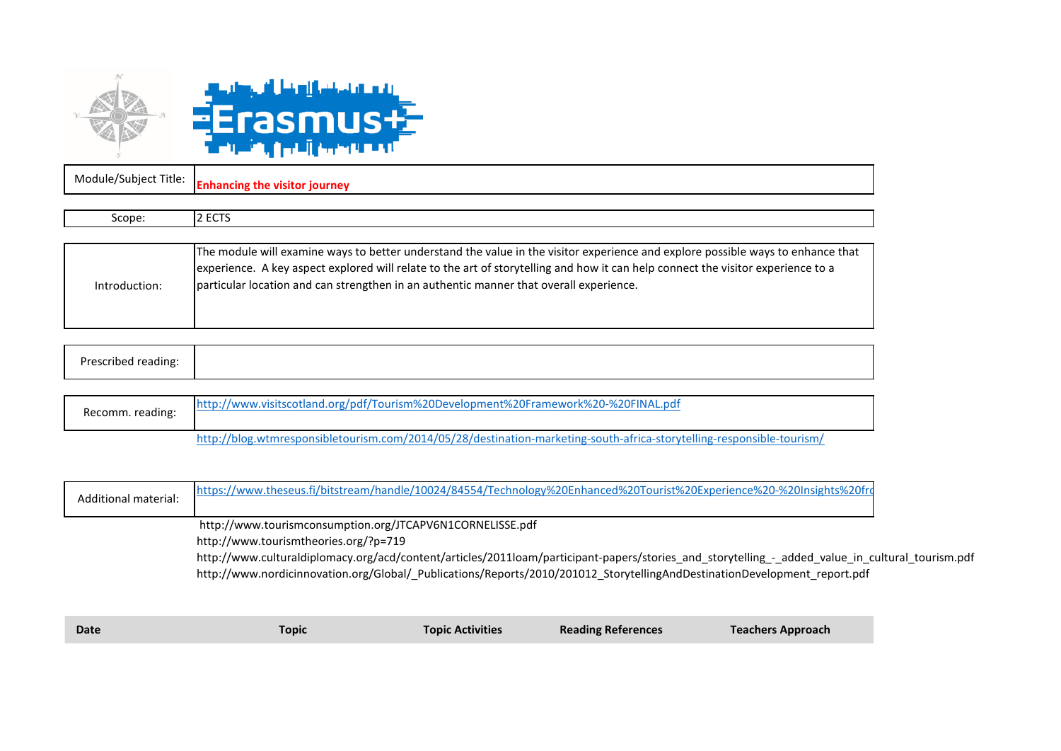

Module/Subject Title: **Enhancing the visitor journey**

| Scope:        | 2 ECTS                                                                                                                                                                                                                                                                                                                                                        |
|---------------|---------------------------------------------------------------------------------------------------------------------------------------------------------------------------------------------------------------------------------------------------------------------------------------------------------------------------------------------------------------|
|               |                                                                                                                                                                                                                                                                                                                                                               |
| Introduction: | The module will examine ways to better understand the value in the visitor experience and explore possible ways to enhance that<br>experience. A key aspect explored will relate to the art of storytelling and how it can help connect the visitor experience to a<br>particular location and can strengthen in an authentic manner that overall experience. |

| п.,<br>eccribed.<br>eading:<br>$\sim$ $\sim$ |
|----------------------------------------------|
|----------------------------------------------|

| Recomm. reading: | http://www.visitscotland.org/pdf/Tourism%20Development%20Framework%20-%20FINAL.pdf                                    |
|------------------|-----------------------------------------------------------------------------------------------------------------------|
|                  | http://blog.wtmresponsibletourism.com/2014/05/28/destination-marketing-south-africa-storytelling-responsible-tourism/ |

| Additional material: | https://www.theseus.fi/bitstream/handle/10024/84554/Technology%20Enhanced%20Tourist%20Experience%20-%20Insights%20frc                            |
|----------------------|--------------------------------------------------------------------------------------------------------------------------------------------------|
|                      | http://www.tourismconsumption.org/JTCAPV6N1CORNELISSE.pdf                                                                                        |
|                      | http://www.tourismtheories.org/?p=719                                                                                                            |
|                      | http://www.culturaldiplomacy.org/acd/content/articles/2011loam/participant-papers/stories_and_storytelling_-_added_value_in_cultural_tourism.pdf |

http://www.nordicinnovation.org/Global/\_Publications/Reports/2010/201012\_StorytellingAndDestinationDevelopment\_report.pdf

| <b>Reading References</b><br><b>Topic Activities</b><br><b>Date</b><br><b>Topic</b> | <b>Teachers Approach</b> |
|-------------------------------------------------------------------------------------|--------------------------|
|-------------------------------------------------------------------------------------|--------------------------|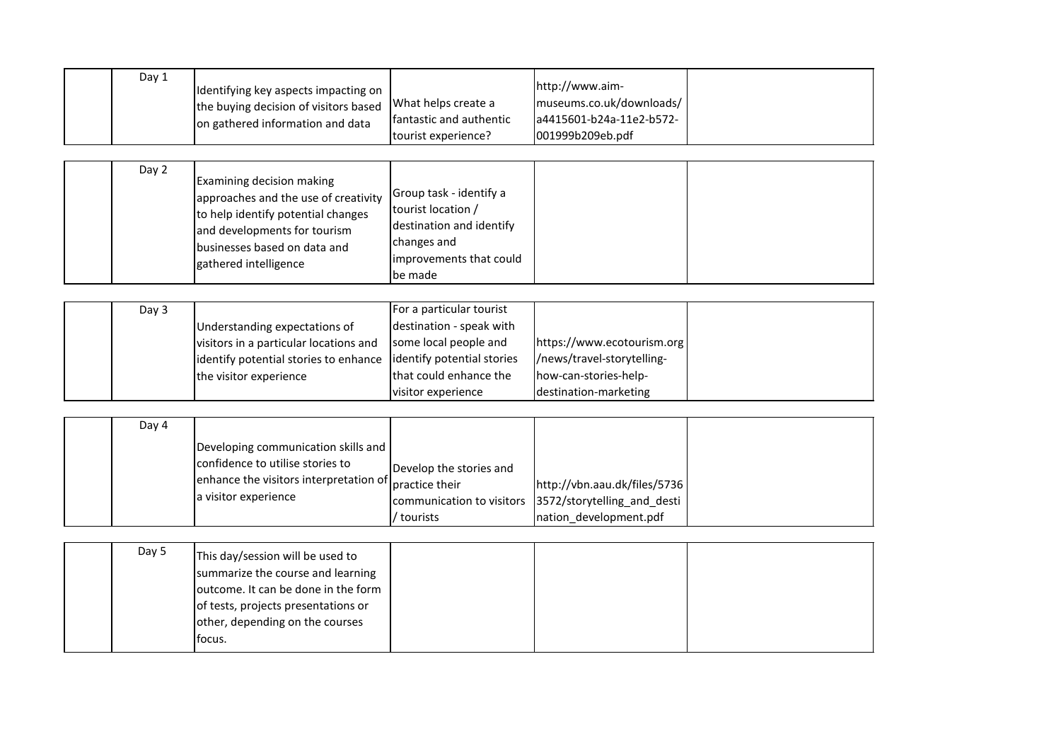| Day 1 | Identifying key aspects impacting on<br>the buying decision of visitors based<br>on gathered information and data                                                                                | What helps create a<br>fantastic and authentic                                                                                                              | http://www.aim-<br>museums.co.uk/downloads/<br>a4415601-b24a-11e2-b572-                                    |  |
|-------|--------------------------------------------------------------------------------------------------------------------------------------------------------------------------------------------------|-------------------------------------------------------------------------------------------------------------------------------------------------------------|------------------------------------------------------------------------------------------------------------|--|
| Day 2 | Examining decision making<br>approaches and the use of creativity<br>to help identify potential changes<br>and developments for tourism<br>businesses based on data and<br>gathered intelligence | tourist experience?<br>Group task - identify a<br>tourist location /<br>destination and identify<br>changes and<br>improvements that could<br>be made       | 001999b209eb.pdf                                                                                           |  |
| Day 3 | Understanding expectations of<br>visitors in a particular locations and<br>identify potential stories to enhance<br>the visitor experience                                                       | For a particular tourist<br>destination - speak with<br>some local people and<br>identify potential stories<br>that could enhance the<br>visitor experience | https://www.ecotourism.org<br>/news/travel-storytelling-<br>how-can-stories-help-<br>destination-marketing |  |
| Day 4 | Developing communication skills and<br>confidence to utilise stories to<br>enhance the visitors interpretation of<br>a visitor experience                                                        | Develop the stories and<br>practice their<br>communication to visitors<br>/ tourists                                                                        | http://vbn.aau.dk/files/5736<br>3572/storytelling and desti<br>nation_development.pdf                      |  |
| Day 5 | This day/session will be used to                                                                                                                                                                 |                                                                                                                                                             |                                                                                                            |  |

| Day 5 | This day/session will be used to    |  |  |
|-------|-------------------------------------|--|--|
|       | summarize the course and learning   |  |  |
|       | outcome. It can be done in the form |  |  |
|       | of tests, projects presentations or |  |  |
|       | other, depending on the courses     |  |  |
|       | focus.                              |  |  |